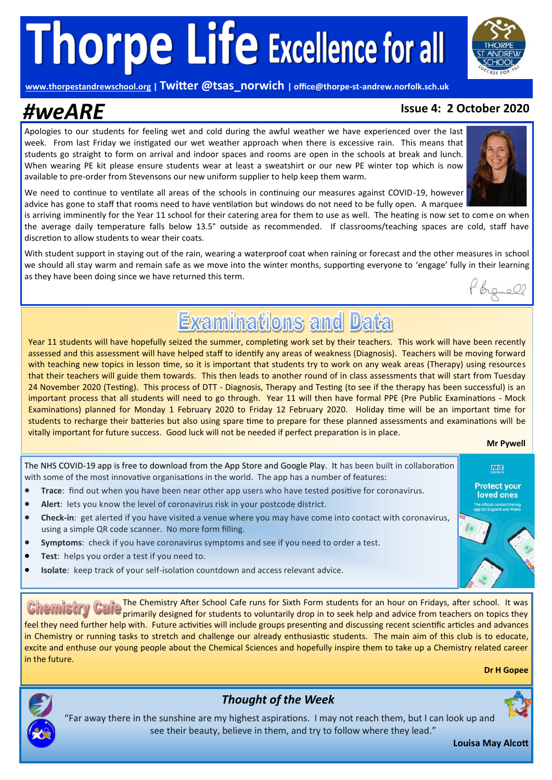**[www.thorpestandrewschool.org](https://thorpestandrewschool.org.uk/) | Twitter @tsas\_norwich | office@thorpe-st-andrew.norfolk.sch.uk**

## *#weARE* **Issue 4: 2 October 2020**

### Apologies to our students for feeling wet and cold during the awful weather we have experienced over the last week. From last Friday we instigated our wet weather approach when there is excessive rain. This means that students go straight to form on arrival and indoor spaces and rooms are open in the schools at break and lunch. When wearing PE kit please ensure students wear at least a sweatshirt or our new PE winter top which is now available to pre-order from Stevensons our new uniform supplier to help keep them warm.

We need to continue to ventilate all areas of the schools in continuing our measures against COVID-19, however advice has gone to staff that rooms need to have ventilation but windows do not need to be fully open. A marquee

is arriving imminently for the Year 11 school for their catering area for them to use as well. The heating is now set to come on when the average daily temperature falls below 13.5° outside as recommended. If classrooms/teaching spaces are cold, staff have discretion to allow students to wear their coats.

With student support in staying out of the rain, wearing a waterproof coat when raining or forecast and the other measures in school we should all stay warm and remain safe as we move into the winter months, supporting everyone to 'engage' fully in their learning as they have been doing since we have returned this term.

## **Examinations and Data**

Year 11 students will have hopefully seized the summer, completing work set by their teachers. This work will have been recently assessed and this assessment will have helped staff to identify any areas of weakness (Diagnosis). Teachers will be moving forward with teaching new topics in lesson time, so it is important that students try to work on any weak areas (Therapy) using resources that their teachers will guide them towards. This then leads to another round of in class assessments that will start from Tuesday 24 November 2020 (Testing). This process of DTT - Diagnosis, Therapy and Testing (to see if the therapy has been successful) is an important process that all students will need to go through. Year 11 will then have formal PPE (Pre Public Examinations - Mock Examinations) planned for Monday 1 February 2020 to Friday 12 February 2020. Holiday time will be an important time for students to recharge their batteries but also using spare time to prepare for these planned assessments and examinations will be vitally important for future success. Good luck will not be needed if perfect preparation is in place.

### **Mr Pywell**

**NHS Protect your** loved ones

The NHS COVID-19 app is free to download from the App Store and Google Play. It has been built in collaboration with some of the most innovative organisations in the world. The app has a number of features:

- **Trace:** find out when you have been near other app users who have tested positive for coronavirus.
- **Alert**: lets you know the level of coronavirus risk in your postcode district.
- **Check-in**: get alerted if you have visited a venue where you may have come into contact with coronavirus, using a simple QR code scanner. No more form filling.
- **Symptoms**: check if you have coronavirus symptoms and see if you need to order a test.
- **Test**: helps you order a test if you need to.
- **Isolate**: keep track of your self-isolation countdown and access relevant advice.

The Chemistry After School Cafe runs for Sixth Form students for an hour on Fridays, after school. It was **Calle** the chemistry Alter Stript, care rails by Stati Lynn Streams (Sales and advice from teachers on topics they feel they need further help with. Future activities will include groups presenting and discussing recent scientific articles and advances in Chemistry or running tasks to stretch and challenge our already enthusiastic students. The main aim of this club is to educate, excite and enthuse our young people about the Chemical Sciences and hopefully inspire them to take up a Chemistry related career in the future.

**Dr H Gopee** 





### *Thought of the Week*

"Far away there in the sunshine are my highest aspirations. I may not reach them, but I can look up and see their beauty, believe in them, and try to follow where they lead."

**Louisa May Alcott**



brevell

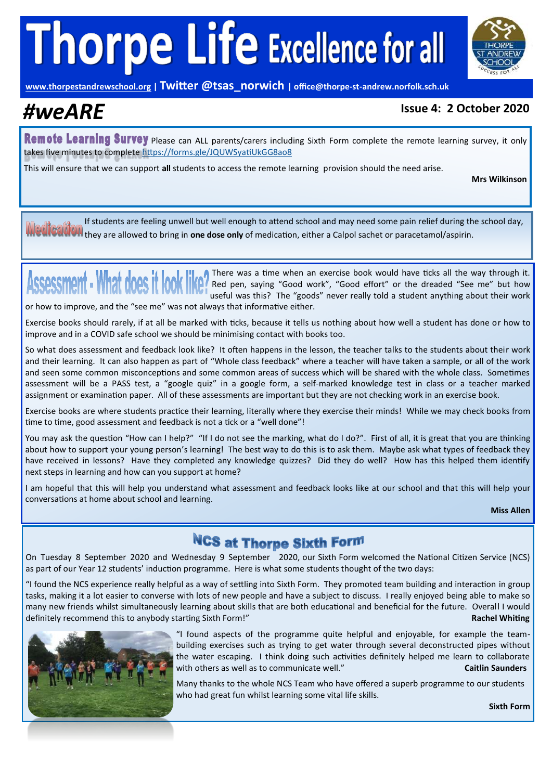

**[www.thorpestandrewschool.org](https://thorpestandrewschool.org.uk/) | Twitter @tsas\_norwich | office@thorpe-st-andrew.norfolk.sch.uk**

### *#weARE* **Issue 4: 2 October 2020**

Remote Learning Survey please can ALL parents/carers including Sixth Form complete the remote learning survey, it only takes five minutes to complete<https://forms.gle/JQUWSyatiUkGG8ao8>

This will ensure that we can support **all** students to access the remote learning provision should the need arise.

**Mrs Wilkinson**

If students are feeling unwell but well enough to attend school and may need some pain relief during the school day, they are allowed to bring in **one dose only** of medication, either a Calpol sachet or paracetamol/aspirin.

There was a time when an exercise book would have ticks all the way through it. Assessment - What does it look I Red pen, saying "Good work", "Good effort" or the dreaded "See me" but how useful was this? The "goods" never really told a student anything about their work or how to improve, and the "see me" was not always that informative either.

Exercise books should rarely, if at all be marked with ticks, because it tells us nothing about how well a student has done or how to improve and in a COVID safe school we should be minimising contact with books too.

So what does assessment and feedback look like? It often happens in the lesson, the teacher talks to the students about their work and their learning. It can also happen as part of "Whole class feedback" where a teacher will have taken a sample, or all of the work and seen some common misconceptions and some common areas of success which will be shared with the whole class. Sometimes assessment will be a PASS test, a "google quiz" in a google form, a self-marked knowledge test in class or a teacher marked assignment or examination paper. All of these assessments are important but they are not checking work in an exercise book.

Exercise books are where students practice their learning, literally where they exercise their minds! While we may check books from time to time, good assessment and feedback is not a tick or a "well done"!

You may ask the question "How can I help?" "If I do not see the marking, what do I do?". First of all, it is great that you are thinking about how to support your young person's learning! The best way to do this is to ask them. Maybe ask what types of feedback they have received in lessons? Have they completed any knowledge quizzes? Did they do well? How has this helped them identify next steps in learning and how can you support at home?

I am hopeful that this will help you understand what assessment and feedback looks like at our school and that this will help your conversations at home about school and learning.

**Miss Allen**

### **NCS at Thorpe Sixth Form**

On Tuesday 8 September 2020 and Wednesday 9 September 2020, our Sixth Form welcomed the National Citizen Service (NCS) as part of our Year 12 students' induction programme. Here is what some students thought of the two days:

"I found the NCS experience really helpful as a way of settling into Sixth Form. They promoted team building and interaction in group tasks, making it a lot easier to converse with lots of new people and have a subject to discuss. I really enjoyed being able to make so many new friends whilst simultaneously learning about skills that are both educational and beneficial for the future. Overall I would definitely recommend this to anybody starting Sixth Form!" **Rachel Whiting**



"I found aspects of the programme quite helpful and enjoyable, for example the teambuilding exercises such as trying to get water through several deconstructed pipes without the water escaping. I think doing such activities definitely helped me learn to collaborate with others as well as to communicate well.<sup>"</sup> **Caitlin Saunders Caitlin Saunders** 

Many thanks to the whole NCS Team who have offered a superb programme to our students who had great fun whilst learning some vital life skills.

**Sixth Form**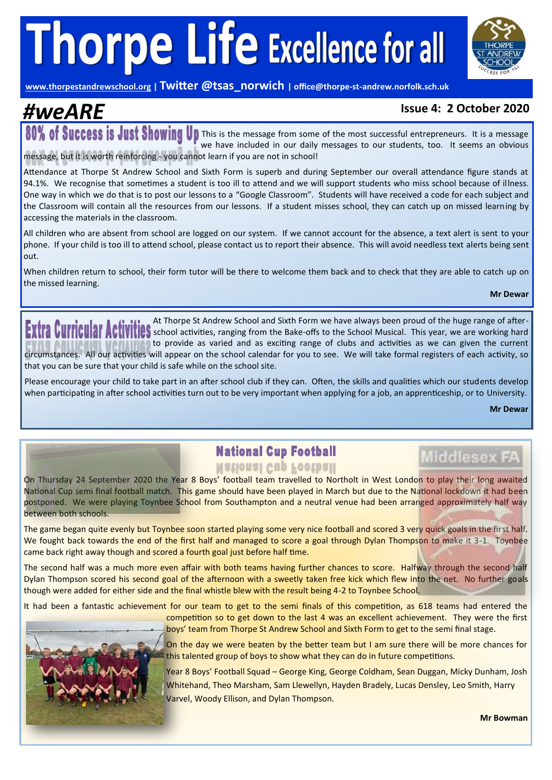

**[www.thorpestandrewschool.org](https://thorpestandrewschool.org.uk/) | Twitter @tsas\_norwich | office@thorpe-st-andrew.norfolk.sch.uk**

### *#weARE* **Issue 4: 2 October 2020**

80% of Success is Just Showing Up This is the message from some of the most successful entrepreneurs. It is a message we have included in our daily messages to our students, too. It seems an obvious message, but it is worth reinforcing - you cannot learn if you are not in school!

Attendance at Thorpe St Andrew School and Sixth Form is superb and during September our overall attendance figure stands at 94.1%. We recognise that sometimes a student is too ill to attend and we will support students who miss school because of illness. One way in which we do that is to post our lessons to a "Google Classroom". Students will have received a code for each subject and the Classroom will contain all the resources from our lessons. If a student misses school, they can catch up on missed learning by accessing the materials in the classroom.

All children who are absent from school are logged on our system. If we cannot account for the absence, a text alert is sent to your phone. If your child is too ill to attend school, please contact us to report their absence. This will avoid needless text alerts being sent out.

When children return to school, their form tutor will be there to welcome them back and to check that they are able to catch up on the missed learning.

**Mr Dewar**

At Thorpe St Andrew School and Sixth Form we have always been proud of the huge range of after-**EXTIFE CUTTICURT ACTIVITIES** at Thorpe St Andrew School and Sixth Form we have always been proud of the huge range of after-<br>**EXTIFE CUTTICURT ACTIVITIES** school activities, ranging from the Bake-offs to the School Musica to provide as varied and as exciting range of clubs and activities as we can given the current

circumstances. All our activities will appear on the school calendar for you to see. We will take formal registers of each activity, so that you can be sure that your child is safe while on the school site.

Please encourage your child to take part in an after school club if they can. Often, the skills and qualities which our students develop when participating in after school activities turn out to be very important when applying for a job, an apprenticeship, or to University.

**Mr Dewar**

**Middlesex FA** 

### **National Cup Football**

On Thursday 24 September 2020 the Year 8 Boys' football team travelled to Northolt in West London to play their long awaited National Cup semi final football match. This game should have been played in March but due to the National lockdown it had been postponed. We were playing Toynbee School from Southampton and a neutral venue had been arranged approximately half way between both schools.

The game began quite evenly but Toynbee soon started playing some very nice football and scored 3 very quick goals in the first half. We fought back towards the end of the first half and managed to score a goal through Dylan Thompson to make it 3-1. Toynbee came back right away though and scored a fourth goal just before half time.

The second half was a much more even affair with both teams having further chances to score. Halfway through the second half Dylan Thompson scored his second goal of the afternoon with a sweetly taken free kick which flew into the net. No further goals though were added for either side and the final whistle blew with the result being 4-2 to Toynbee School.

It had been a fantastic achievement for our team to get to the semi finals of this competition, as 618 teams had entered the



competition so to get down to the last 4 was an excellent achievement. They were the first boys' team from Thorpe St Andrew School and Sixth Form to get to the semi final stage.

On the day we were beaten by the better team but I am sure there will be more chances for this talented group of boys to show what they can do in future competitions.

Year 8 Boys' Football Squad – George King, George Coldham, Sean Duggan, Micky Dunham, Josh Whitehand, Theo Marsham, Sam Llewellyn, Hayden Bradely, Lucas Densley, Leo Smith, Harry Varvel, Woody Ellison, and Dylan Thompson.

**Mr Bowman**